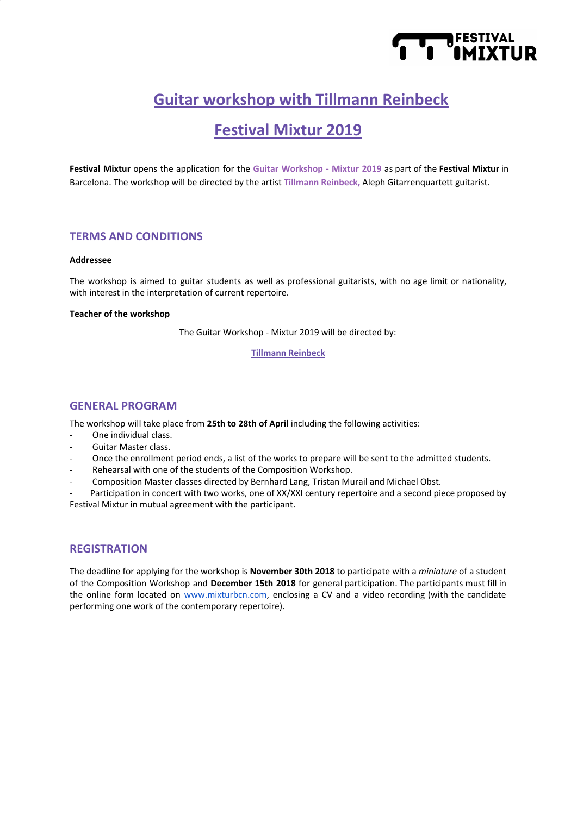

# **Guitar workshop with Tillmann Reinbeck**

## **Festival Mixtur 2019**

**Festival Mixtur** opens the application for the **Guitar Workshop - Mixtur 2019** as part of the **Festival Mixtur** in Barcelona. The workshop will be directed by the artist **Tillmann Reinbeck,** Aleph Gitarrenquartett guitarist.

## **TERMS AND CONDITIONS**

#### **Addressee**

The workshop is aimed to guitar students as well as professional guitarists, with no age limit or nationality, with interest in the interpretation of current repertoire.

#### **Teacher of the workshop**

The Guitar Workshop - Mixtur 2019 will be directed by:

#### **Tillmann [Reinbeck](http://www.tillmann-reinbeck.de/)**

## **GENERAL PROGRAM**

The workshop will take place from **25th to 28th of April** including the following activities:

- One individual class.
- Guitar Master class.
- Once the enrollment period ends, a list of the works to prepare will be sent to the admitted students.
- Rehearsal with one of the students of the Composition Workshop.
- Composition Master classes directed by Bernhard Lang, Tristan Murail and Michael Obst.

Participation in concert with two works, one of XX/XXI century repertoire and a second piece proposed by Festival Mixtur in mutual agreement with the participant.

## **REGISTRATION**

The deadline for applying for the workshop is **November 30th 2018** to participate with a *miniature* of a student of the Composition Workshop and **December 15th 2018** for general participation. The participants must fill in the online form located on [www.mixturbcn.com](http://www.mixturbcn.com/), enclosing a CV and a video recording (with the candidate performing one work of the contemporary repertoire).